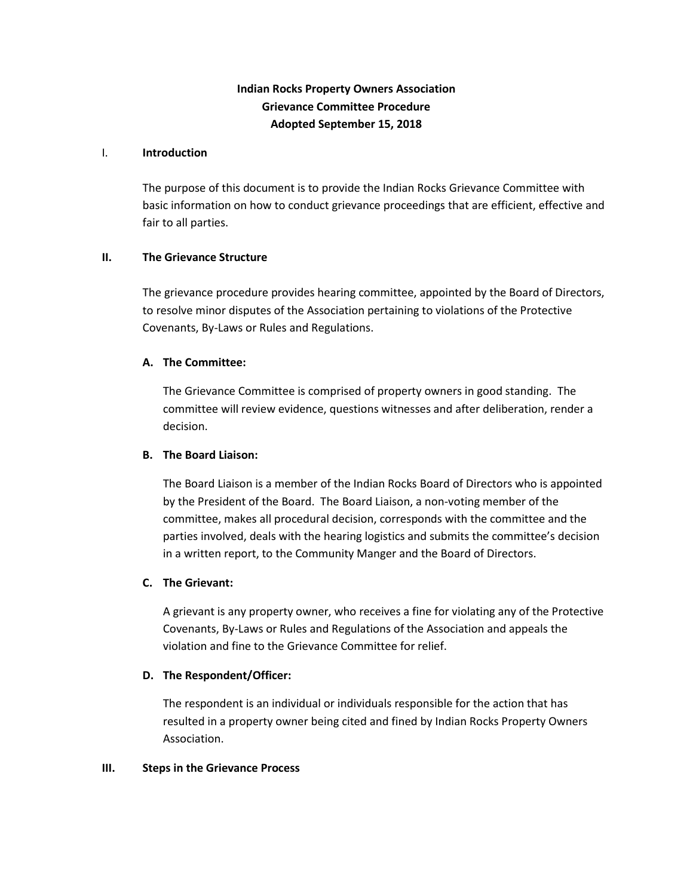# **Indian Rocks Property Owners Association Grievance Committee Procedure Adopted September 15, 2018**

#### I. **Introduction**

The purpose of this document is to provide the Indian Rocks Grievance Committee with basic information on how to conduct grievance proceedings that are efficient, effective and fair to all parties.

### **II. The Grievance Structure**

The grievance procedure provides hearing committee, appointed by the Board of Directors, to resolve minor disputes of the Association pertaining to violations of the Protective Covenants, By-Laws or Rules and Regulations.

# **A. The Committee:**

The Grievance Committee is comprised of property owners in good standing. The committee will review evidence, questions witnesses and after deliberation, render a decision.

### **B. The Board Liaison:**

The Board Liaison is a member of the Indian Rocks Board of Directors who is appointed by the President of the Board. The Board Liaison, a non-voting member of the committee, makes all procedural decision, corresponds with the committee and the parties involved, deals with the hearing logistics and submits the committee's decision in a written report, to the Community Manger and the Board of Directors.

### **C. The Grievant:**

A grievant is any property owner, who receives a fine for violating any of the Protective Covenants, By-Laws or Rules and Regulations of the Association and appeals the violation and fine to the Grievance Committee for relief.

### **D. The Respondent/Officer:**

The respondent is an individual or individuals responsible for the action that has resulted in a property owner being cited and fined by Indian Rocks Property Owners Association.

#### **III. Steps in the Grievance Process**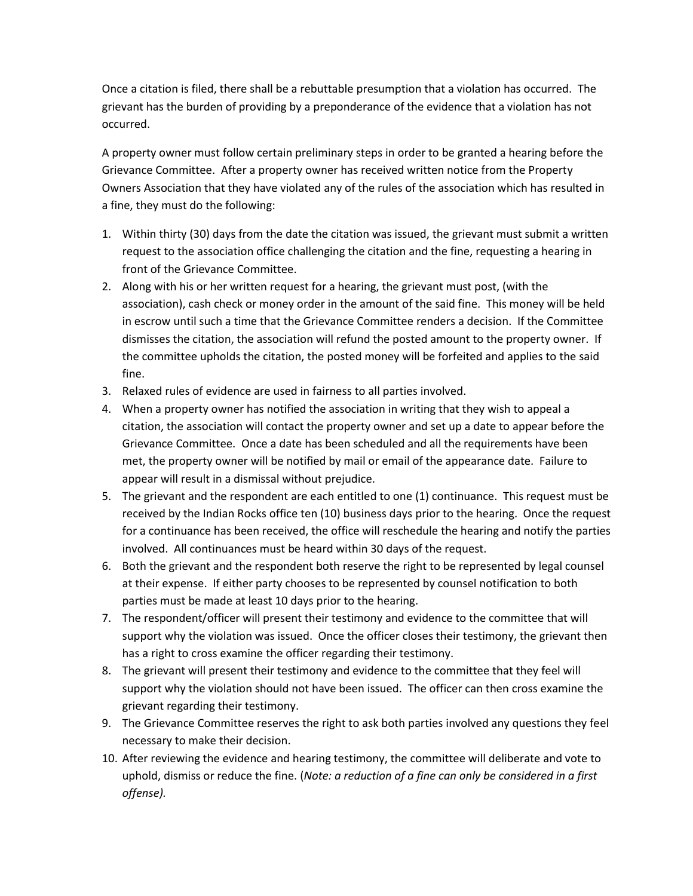Once a citation is filed, there shall be a rebuttable presumption that a violation has occurred. The grievant has the burden of providing by a preponderance of the evidence that a violation has not occurred.

A property owner must follow certain preliminary steps in order to be granted a hearing before the Grievance Committee. After a property owner has received written notice from the Property Owners Association that they have violated any of the rules of the association which has resulted in a fine, they must do the following:

- 1. Within thirty (30) days from the date the citation was issued, the grievant must submit a written request to the association office challenging the citation and the fine, requesting a hearing in front of the Grievance Committee.
- 2. Along with his or her written request for a hearing, the grievant must post, (with the association), cash check or money order in the amount of the said fine. This money will be held in escrow until such a time that the Grievance Committee renders a decision. If the Committee dismisses the citation, the association will refund the posted amount to the property owner. If the committee upholds the citation, the posted money will be forfeited and applies to the said fine.
- 3. Relaxed rules of evidence are used in fairness to all parties involved.
- 4. When a property owner has notified the association in writing that they wish to appeal a citation, the association will contact the property owner and set up a date to appear before the Grievance Committee. Once a date has been scheduled and all the requirements have been met, the property owner will be notified by mail or email of the appearance date. Failure to appear will result in a dismissal without prejudice.
- 5. The grievant and the respondent are each entitled to one (1) continuance. This request must be received by the Indian Rocks office ten (10) business days prior to the hearing. Once the request for a continuance has been received, the office will reschedule the hearing and notify the parties involved. All continuances must be heard within 30 days of the request.
- 6. Both the grievant and the respondent both reserve the right to be represented by legal counsel at their expense. If either party chooses to be represented by counsel notification to both parties must be made at least 10 days prior to the hearing.
- 7. The respondent/officer will present their testimony and evidence to the committee that will support why the violation was issued. Once the officer closes their testimony, the grievant then has a right to cross examine the officer regarding their testimony.
- 8. The grievant will present their testimony and evidence to the committee that they feel will support why the violation should not have been issued. The officer can then cross examine the grievant regarding their testimony.
- 9. The Grievance Committee reserves the right to ask both parties involved any questions they feel necessary to make their decision.
- 10. After reviewing the evidence and hearing testimony, the committee will deliberate and vote to uphold, dismiss or reduce the fine. (*Note: a reduction of a fine can only be considered in a first offense).*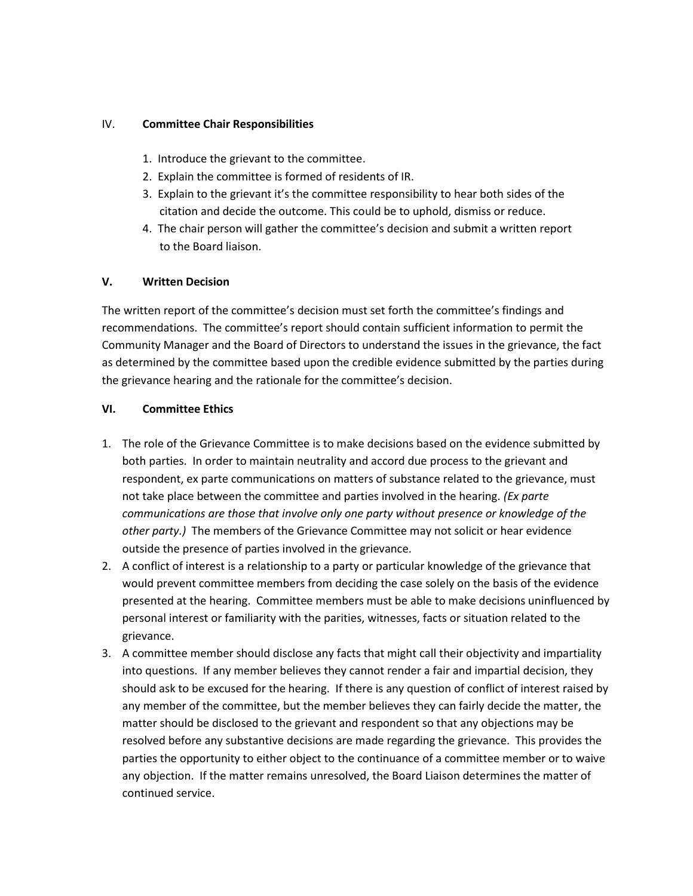# IV. **Committee Chair Responsibilities**

- 1. Introduce the grievant to the committee.
- 2. Explain the committee is formed of residents of IR.
- 3. Explain to the grievant it's the committee responsibility to hear both sides of the citation and decide the outcome. This could be to uphold, dismiss or reduce.
- 4. The chair person will gather the committee's decision and submit a written report to the Board liaison.

# **V. Written Decision**

The written report of the committee's decision must set forth the committee's findings and recommendations. The committee's report should contain sufficient information to permit the Community Manager and the Board of Directors to understand the issues in the grievance, the fact as determined by the committee based upon the credible evidence submitted by the parties during the grievance hearing and the rationale for the committee's decision.

# **VI. Committee Ethics**

- 1. The role of the Grievance Committee is to make decisions based on the evidence submitted by both parties. In order to maintain neutrality and accord due process to the grievant and respondent, ex parte communications on matters of substance related to the grievance, must not take place between the committee and parties involved in the hearing. *(Ex parte communications are those that involve only one party without presence or knowledge of the other party.)* The members of the Grievance Committee may not solicit or hear evidence outside the presence of parties involved in the grievance.
- 2. A conflict of interest is a relationship to a party or particular knowledge of the grievance that would prevent committee members from deciding the case solely on the basis of the evidence presented at the hearing. Committee members must be able to make decisions uninfluenced by personal interest or familiarity with the parities, witnesses, facts or situation related to the grievance.
- 3. A committee member should disclose any facts that might call their objectivity and impartiality into questions. If any member believes they cannot render a fair and impartial decision, they should ask to be excused for the hearing. If there is any question of conflict of interest raised by any member of the committee, but the member believes they can fairly decide the matter, the matter should be disclosed to the grievant and respondent so that any objections may be resolved before any substantive decisions are made regarding the grievance. This provides the parties the opportunity to either object to the continuance of a committee member or to waive any objection. If the matter remains unresolved, the Board Liaison determines the matter of continued service.